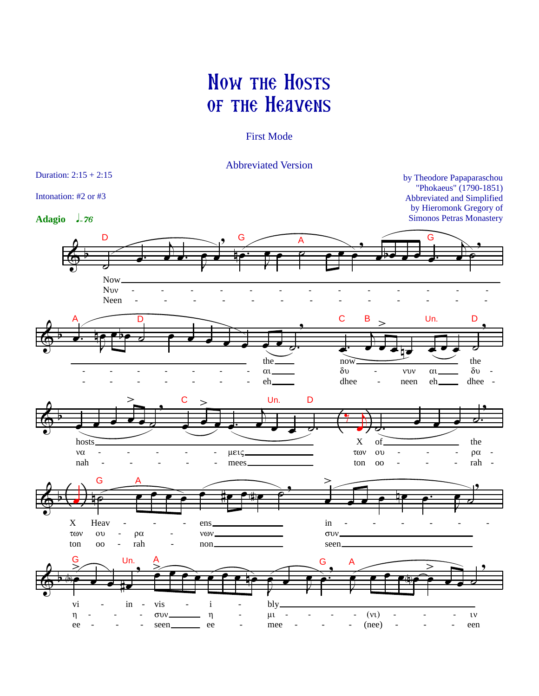## **NOW THE HOSTS OF THE HEAVENS**

## **First Mode**

**Abbreviated Version** 

Duration:  $2:15 + 2:15$ by Theodore Papaparaschou "Phokaeus" (1790-1851) Intonation: #2 or #3 Abbreviated and Simplified by Hieromonk Gregory of **Adagio**  $l = 76$ **Simonos Petras Monastery** D G G A **Now** Nvv Neen C B Un. D n the the  $\overline{now}$  $\delta v$  $\delta v$  $\alpha$  $\mathsf{v}\mathsf{v}\mathsf{v}$  $\alpha$ eh. dhee neen eh. dhee  $\overline{a}$ D Un.  $\overline{X}$ the hosts of  $v\alpha$ των μεις  $\mathbf{O} \mathbf{O}$  $\rho\alpha$  $\overline{a}$ nah rah mees. ton  $_{\rm oo}$  $\overline{a}$ G  $\mathbf X$ Heav ens. in  $\overline{a}$  $\tau$ ων  $\mathbf{O} \mathbf{U}$  $\rho\alpha$ vov.  $\sigma$ <sup> $\upsilon$ </sup> ton  $\overline{O}$ rah non. seen. G Un. Ġ A  $\mathbf{i}$ vi vis bly in  $\overline{a}$  $(v<sub>t</sub>)$  $\eta$  $\overline{a}$ συν.  $\eta$  $\mu\iota$  $\overline{a}$  $\overline{a}$  $\overline{a}$  $\mathfrak{v}$ L,  $(nee)$ ee seen. ee mee een  $\overline{a}$  $\overline{a}$  $\overline{a}$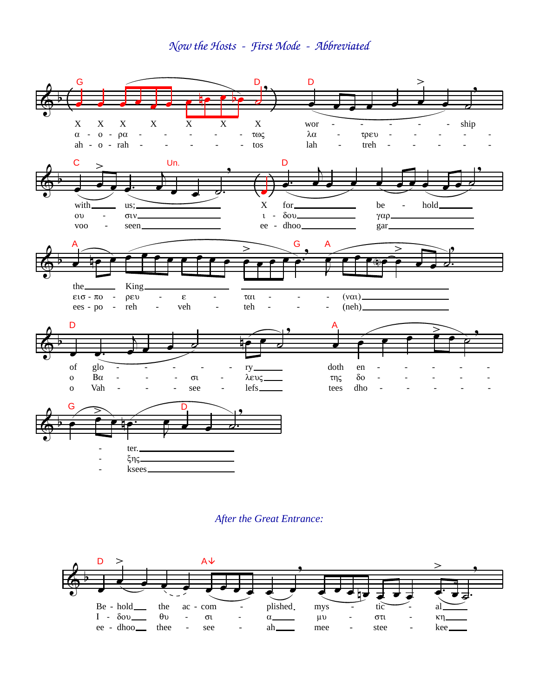Now the Hosts - First Mode - Abbreviated



## **After the Great Entrance:**